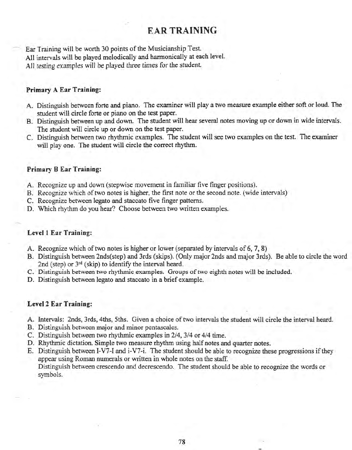# **EAR TRAINING**

Ear Training will be worth 30 points of the Musicianship Test. All intervals will be played melodically and harmonically at each level. All testing examples will be played three *times* for the student.

#### **Primary A Ear Training:**

- A. Distinguish between forte and piano. The examiner will playa two measure example either soft or loud. The student will circle forte or piano on the test paper.
- B. Distinguish between up and down. The student will hear several notes moving up or down in wide intervals. The student will circle up or down on the test paper.
- C. Distinguish between two rhythmic examples. The student will see two examples on the test. The examiner will play one. The student will circle the correct rhythm.

#### **Primary B Ear Training:**

- A. Recognize up and down (stepwise movement in familiar five finger positions).
- B. Recognize which of two notes is higher, the first note or the second note. (wide intervals)
- C. Recognize between legato and staccato five finger patterns.
- D. Which rhythm do you hear? Choose between two written examples.

#### **Levell Ear Training:**

- A. Recognize which of two notes is higher or lower (separated by intervals of 6, 7, 8)
- B. Distinguish between 2nds(step) and 3rds (skips). (Only major 2nds and major 3rds). Be able to circle the word 2nd (step) or  $3^{rd}$  (skip) to identify the interval heard.
- C. Distinguish between two rhytlunic examples. Groups of two eighth notes will be included.
- D. Distinguish between legato and staccato in a brief example.

#### **.Level 2 Ear Training:**

- A. Intervals: 2nds, 3rds, 4ths, 5ths. Given a choice of two intervals the student will circle the interval heard.
- B. Distinguish between major and minor pentascales.
- C. Distinguish between two rhythmic examples in 2/4,3/4 or 4/4 time.
- D. Rhythmic dictation. Simple two measure rhythm using half notes and quarter notes.
- E. Distinguish between 1-V7-1 and i-V7-i. The student should be able to recognize these progressions if they appear using Roman numerals or written in whole notes on the staff. Distinguish between crescendo and decrescendo. The student should be able to recognize the words or symbols.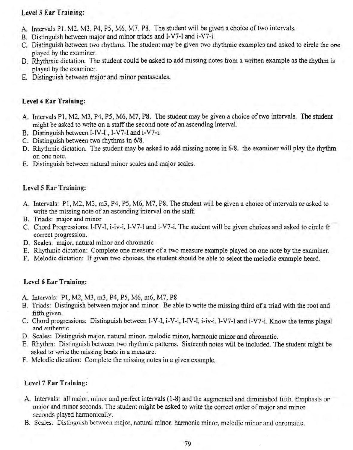# Level J Ear Training:

- A. Intervals PI, M2, MJ, P4, P5, M6, M7, P8. The student will be given a choice of two intervals.
- B. Distinguish between major and minor triads and I-V7-I and i-V7-i.
- C. Distinguish between two rhythms. The student may be given two rhythmic examples and asked to circle the one played by the examiner.
- D. Rhythmic dictation. The student could be asked to add missing notes from a written example as the rhythm is played by the examiner.
- E. Distinguish between major and minor pentascales.

# Level 4 Ear Training:

- A. Intervals PI, M2, M3, P4, P5, M6, M7, P8. The student may be given a choice of two intervals. The student might be asked to write on a staff the second note of an ascending interval.
- B. Distinguish between I-IV-I, I-V7-I and i-V7-i.
- C. Distinguish between two rhythms in 6/8.
- D. Rhythmic dictation. The student may be asked to add missing notes in 6/8. the examiner will play the rhythm on one note.
- E. Distinguish between natural minor scales and major scales.

# Level 5 Ear Training:

- A. Intervals: PI, M2, M3, m3, P4, P5, M6, M7, P8. The student will be given a choice of intervals or asked to write the missing note of an ascending interval on the staff.
- B. Triads: major and minor
- C. Chord Progressions: I-IV-I, i-iv-i, I-V7-I and i-V7-i. The student will be given choices and asked to circle the correct progression.
- D. Scales: major, natural minor and chromatic
- E. Rhythmic dictation: Complete one measure of a two measure example played on one note by the examiner.
- F. Melodic dictation: If given two choices, the student should be able to select the melodic example heard.

## Level 6 Ear Training:

- A. Intervals: PI, M2, M3, m3, P4, P5, M6, m6, M7, P8
- B. Triads: Distinguish between major and minor. Be able to write the missing third of a triad with the root and fifth given.
- C. Chord progressions: Distinguish between I-V-I, i-V-i, I-IV-I, i-iv-i, I-V7-I and i-V7-i. Know the terms plagal and authentic.
- D. Scales: Distinguish major, natural minor, melodic minor, harmonic minor and chromatic.
- E. Rhythm: Distinguish between two rhythmic patterns. Sixteenth notes will be included. The student might be asked to write the missing beats in a measure.
- F. Melodic dictation: Complete the missing notes in a given example.

## Level 7 Ear Training:

- A. Intervals: all major, minor and perfect intervals (1-8) and the augmented and diminished fifth. Emphasis or major and minor seconds. The student might be asked to write the correct order of major and minor seconds played harmonically
- B. Scales: Distinguish between major, natural minor, harmonic minor, melodic minor and chromatic.